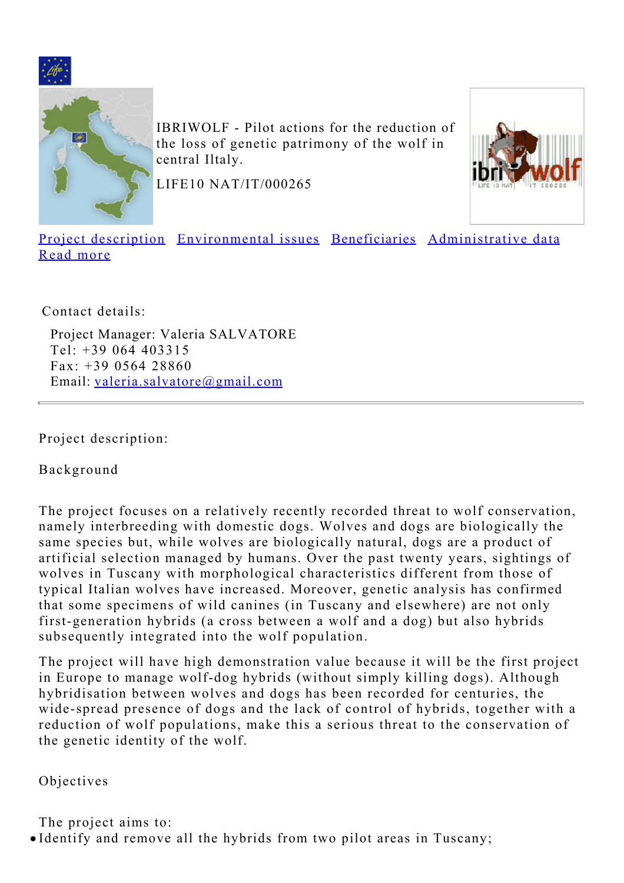<span id="page-0-1"></span>



IBRIWOLF - Pilot actions for the reduction of the loss of genetic patrimony of the wolf in central Iltaly.

LIFE10 NAT/IT/000265



[Project description](#page-0-0) [Environmental issues](#page-1-0) [Beneficiaries](#page-2-0) [Administrative data](#page-2-1) [Read more](#page-3-0)

Contact details:

Project Manager: Valeria SALVATORE Tel: +39 064 403315 Fax: +39 0564 28860 Email: [valeria.salvatore@gmail.com](mailto:valeria.salvatore@gmail.com)

<span id="page-0-0"></span>Project description:

Background

The project focuses on a relatively recently recorded threat to wolf conservation, namely interbreeding with domestic dogs. Wolves and dogs are biologically the same species but, while wolves are biologically natural, dogs are a product of artificial selection managed by humans. Over the past twenty years, sightings of wolves in Tuscany with morphological characteristics different from those of typical Italian wolves have increased. Moreover, genetic analysis has confirmed that some specimens of wild canines (in Tuscany and elsewhere) are not only first-generation hybrids (a cross between a wolf and a dog) but also hybrids subsequently integrated into the wolf population.

The project will have high demonstration value because it will be the first project in Europe to manage wolf-dog hybrids (without simply killing dogs). Although hybridisation between wolves and dogs has been recorded for centuries, the wide-spread presence of dogs and the lack of control of hybrids, together with a reduction of wolf populations, make this a serious threat to the conservation of the genetic identity of the wolf.

Objectives

The project aims to: Identify and remove all the hybrids from two pilot areas in Tuscany;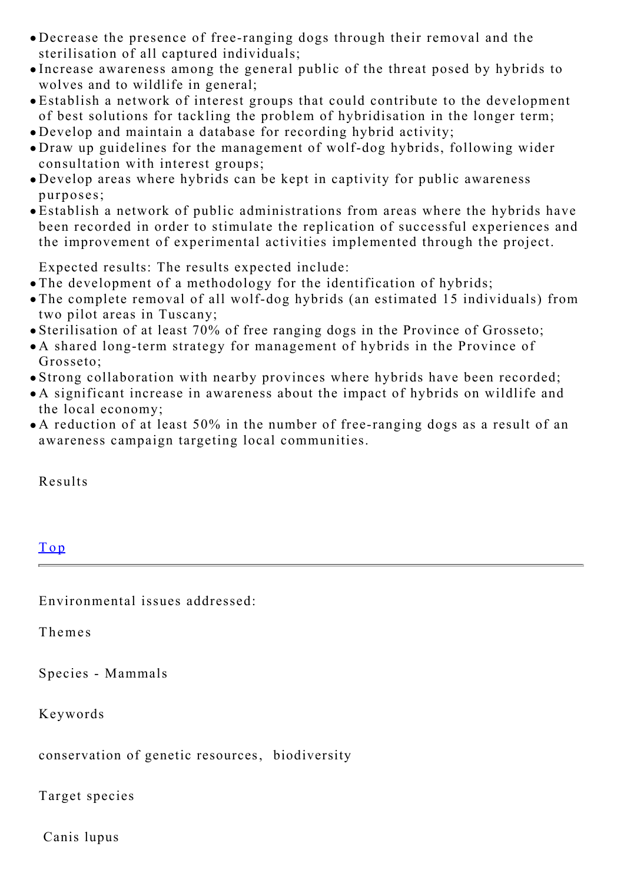- Decrease the presence of free-ranging dogs through their removal and the sterilisation of all captured individuals;
- Increase awareness among the general public of the threat posed by hybrids to wolves and to wildlife in general;
- Establish a network of interest groups that could contribute to the development of best solutions for tackling the problem of hybridisation in the longer term;
- Develop and maintain a database for recording hybrid activity;
- Draw up guidelines for the management of wolf-dog hybrids, following wider consultation with interest groups;
- Develop areas where hybrids can be kept in captivity for public awareness purposes;
- Establish a network of public administrations from areas where the hybrids have been recorded in order to stimulate the replication of successful experiences and the improvement of experimental activities implemented through the project.

Expected results: The results expected include:

- The development of a methodology for the identification of hybrids;
- The complete removal of all wolf-dog hybrids (an estimated 15 individuals) from two pilot areas in Tuscany;
- Sterilisation of at least 70% of free ranging dogs in the Province of Grosseto;
- A shared long-term strategy for management of hybrids in the Province of Grosseto;
- Strong collaboration with nearby provinces where hybrids have been recorded;
- A significant increase in awareness about the impact of hybrids on wildlife and the local economy;
- A reduction of at least 50% in the number of free-ranging dogs as a result of an awareness campaign targeting local communities.

Results

<span id="page-1-0"></span>

| Top                             |  |
|---------------------------------|--|
| Environmental issues addressed: |  |
| Themes                          |  |
|                                 |  |

Species - Mammals

Keywords

conservation of genetic resources, biodiversity

Target species

Canis lupus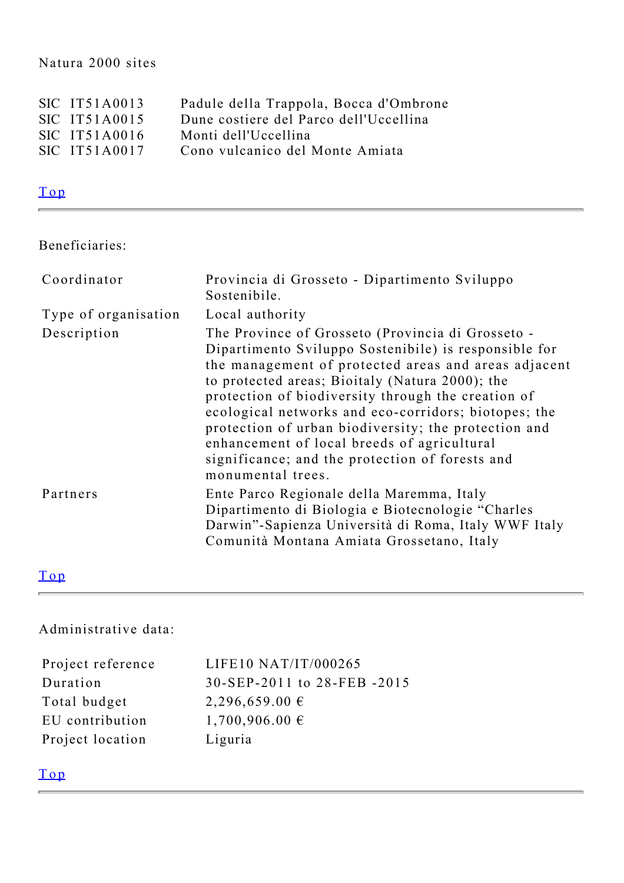#### Natura 2000 sites

| SIC IT51A0013   | Padule della Trappola, Bocca d'Ombrone |
|-----------------|----------------------------------------|
| $SIC$ IT51A0015 | Dune costiere del Parco dell'Uccellina |
| $SIC$ IT51A0016 | Monti dell'Uccellina                   |
| SIC IT51A0017   | Cono vulcanico del Monte Amiata        |
|                 |                                        |

# [Top](#page-0-1)

## <span id="page-2-0"></span>Beneficiaries:

| Coordinator          | Provincia di Grosseto - Dipartimento Sviluppo<br>Sostenibile.                                                                                                                                                                                                                                                                                                                                                                                                                                                      |
|----------------------|--------------------------------------------------------------------------------------------------------------------------------------------------------------------------------------------------------------------------------------------------------------------------------------------------------------------------------------------------------------------------------------------------------------------------------------------------------------------------------------------------------------------|
| Type of organisation | Local authority                                                                                                                                                                                                                                                                                                                                                                                                                                                                                                    |
| Description          | The Province of Grosseto (Provincia di Grosseto -<br>Dipartimento Sviluppo Sostenibile) is responsible for<br>the management of protected areas and areas adjacent<br>to protected areas; Bioitaly (Natura 2000); the<br>protection of biodiversity through the creation of<br>ecological networks and eco-corridors; biotopes; the<br>protection of urban biodiversity; the protection and<br>enhancement of local breeds of agricultural<br>significance; and the protection of forests and<br>monumental trees. |
| Partners             | Ente Parco Regionale della Maremma, Italy<br>Dipartimento di Biologia e Biotecnologie "Charles<br>Darwin"-Sapienza Università di Roma, Italy WWF Italy<br>Comunità Montana Amiata Grossetano, Italy                                                                                                                                                                                                                                                                                                                |

#### [Top](#page-0-1)

<span id="page-2-1"></span>Administrative data:

| Project reference | LIFE10 NAT/IT/000265       |
|-------------------|----------------------------|
| Duration          | 30-SEP-2011 to 28-FEB-2015 |
| Total budget      | $2,296,659.00 \in$         |
| EU contribution   | $1,700,906.00 \in$         |
| Project location  | Liguria                    |

### [Top](#page-0-1)